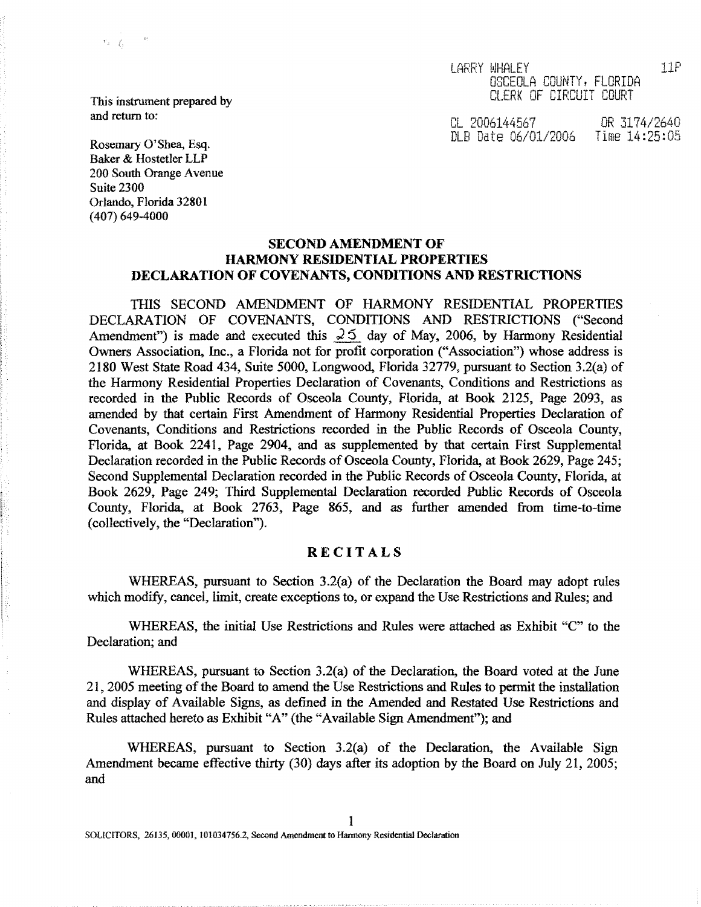LARRY WHALEY 11P OSCEOLA COUNTY, FLORIDA CLERK OF CIRCUIT COURT

This instrument prepared by **and return to :**

 $\mathcal{C}_\text{in} = \frac{d}{d\Delta t}$  .

Rosemary O'Shea, Esq. Baker & Hostetler LLP 200 South Orange Avenue Suite 2300 Orlando, Florida 32801 (407) 649-4000

CL Ct00 1.445 7 C 31.74/2640 DLB Date 06/01/2006

# SECOND AMENDMENT OF HARMONY RESIDENTIAL PROPERTIES DECLARATION OF COVENANTS, CONDITIONS AND RESTRICTIONS

THIS SECOND AMENDMENT OF HARMONY RESIDENTIAL PROPERTIES DECLARATION OF COVENANTS, CONDITIONS AND RESTRICTIONS ("Second Amendment") is made and executed this  $25$  day of May, 2006, by Harmony Residential Owners Association, Inc., a Florida not for profit corporation ("Association") whose address is 2180 West State Road 434, Suite 5000, Longwood, Florida 32779, pursuant to Section 3 .2(a) of the Harmony Residential Properties Declaration of Covenants, Conditions and Restrictions as recorded in the Public Records of Osceola County, Florida, at Book 2125, Page 2093, as amended by that certain First Amendment of Harmony Residential Properties Declaration of Covenants, Conditions and Restrictions recorded in the Public Records of Osceola County, Florida, at Book 2241, Page 2904, and as supplemented by that certain First Supplemental Declaration recorded in the Public Records of Osceola County, Florida, at Book 2629, Page 245; Second Supplemental Declaration recorded in the Public Records of Osceola County, Florida, at Book 2629, Page 249; Third Supplemental Declaration recorded Public Records of Osceola County, Florida, at Book 2763, Page 865, and as further amended from time-to-time (collectively, the "Declaration").

# **RECITALS**

WHEREAS, pursuant to Section  $3.2(a)$  of the Declaration the Board may adopt rules which modify, cancel, limit, create exceptions to, or expand the Use Restrictions and Rules; and

WHEREAS, the initial Use Restrictions and Rules *were* attached as Exhibit "C" to the Declaration; and

WHEREAS, pursuant to Section 3.2(a) of the Declaration, the Board voted at the June 21, 2005 meeting of the Board to amend the Use Restrictions and Rules to permit the installation and display of Available Signs, as defined in the Amended and Restated Use Restrictions and Rules attached hereto as Exhibit "A" (the "Available Sign Amendment"); and

WHEREAS, **pursu**an**t to Section 3.2(a) of the Declara**ti**on, the Available Sign** Amendment **became effective thirty (30) days after its adoption** by the **Board on** July 21, 2005; **and**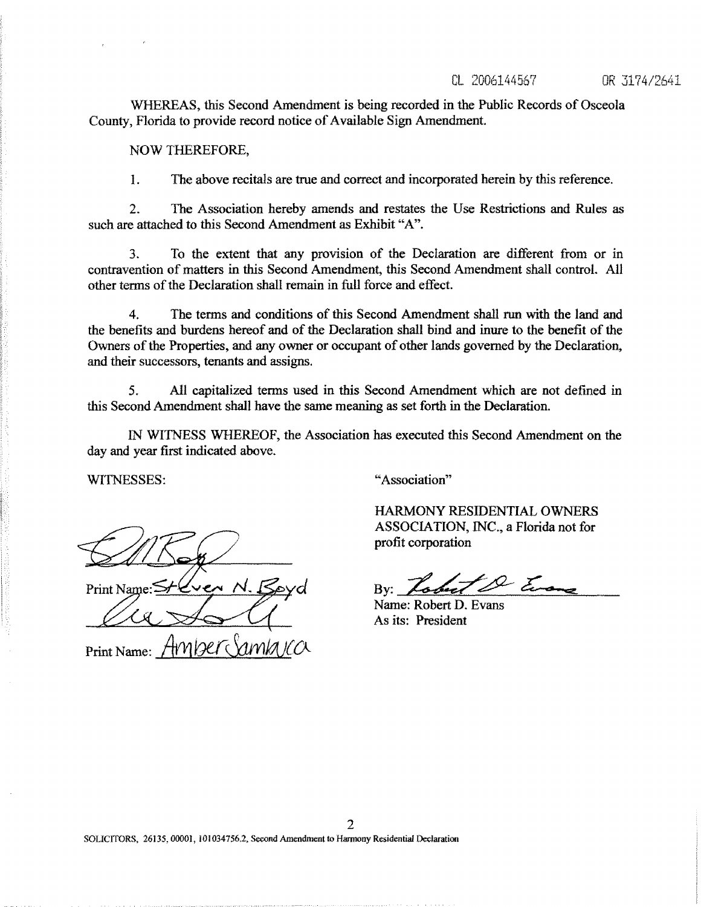# CL 2006144567 OR 3174/2641

W**HEREAS, this Second Amendment is being recorded in the Public Records of Osceol a County, Florida to provide record notice of Available Sign Amendment.**

NOW THEREFORE,

**I . The above recitals are true and correct and incorporated herein by this reference .**

**2. The Association hereby amends and restates the Use Restrictions and Rules as such are attached to this Second Amendment as Exhibit "A"**

3. To the extent that any provision of the Declaration are different from or in contravention of matters in this Second Amendment, this Second Amendment shall control . All other terms of the Declaration shall remain in full force and effect.

4. The terms and conditions of this Second Amendment shall run with the land and the benefits and burdens hereof and of the Declaration shall bind and inure to the benefit of the Owners of the Properties, and any owner or occupant of other lands governed by the Declaration, and their successors, tenants and assigns.

5. All capitalized terms used in this Second Amendment which are not defined in this Second Amendment shall have the same meaning as set forth in the Declaration .

IN WITNESS WHEREOF, **the Association has** executed **this Second Amendment on the day and year first indicated above.**

**Print Name** 

Print Name:

WITNESSES: "Association"

HARMONY RESIDENTIAL OWNERS ASSOCIATION, INC., a Florida not for profit corporation

 $2\zeta$ By:

Name: Robert D. Evans As its: President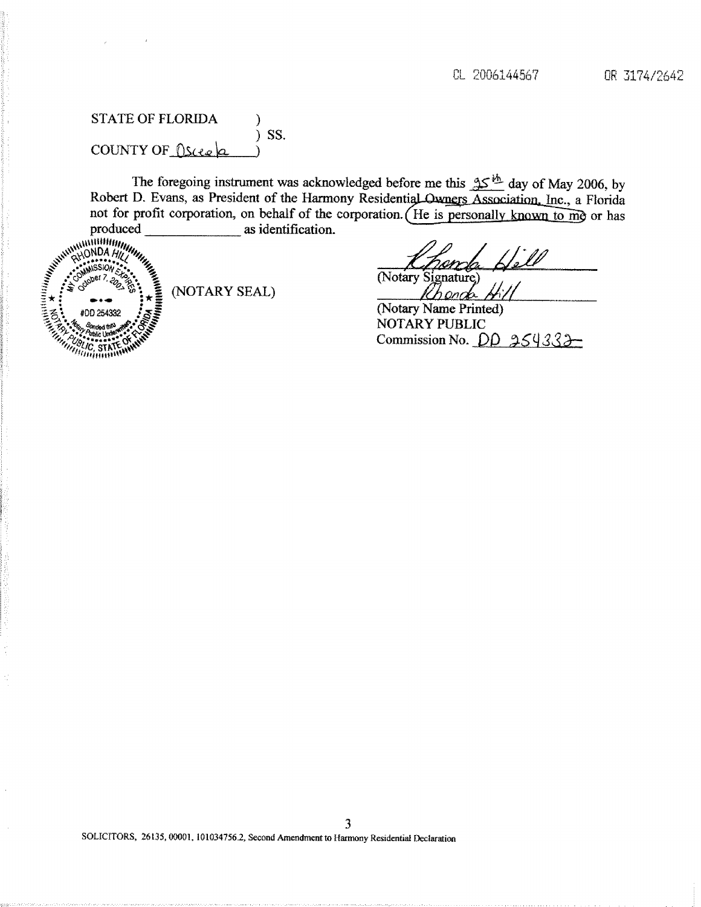# STATE OF FLORIDA  $\qquad$  ) ) SS. COUNTY OF  $\Omega$ scee $\alpha$

The foregoing instrument was acknowledged before me this  $25^{1/6}$  day of May 2006, by Robert D. Evans, as President of the Harmony Residential Owners Association, Inc., a Florida not for profit corporation, on behalf of the corporation. (He is personally known to  $\overline{m}$ ) or has produced as identification. as identification.



(NOTARY SEAL)

 $\mathbb{Z}$ (Notary

**(Nota**ry **Name Printed)** NOTARY PUBLIC **Commission No. DD 254333-**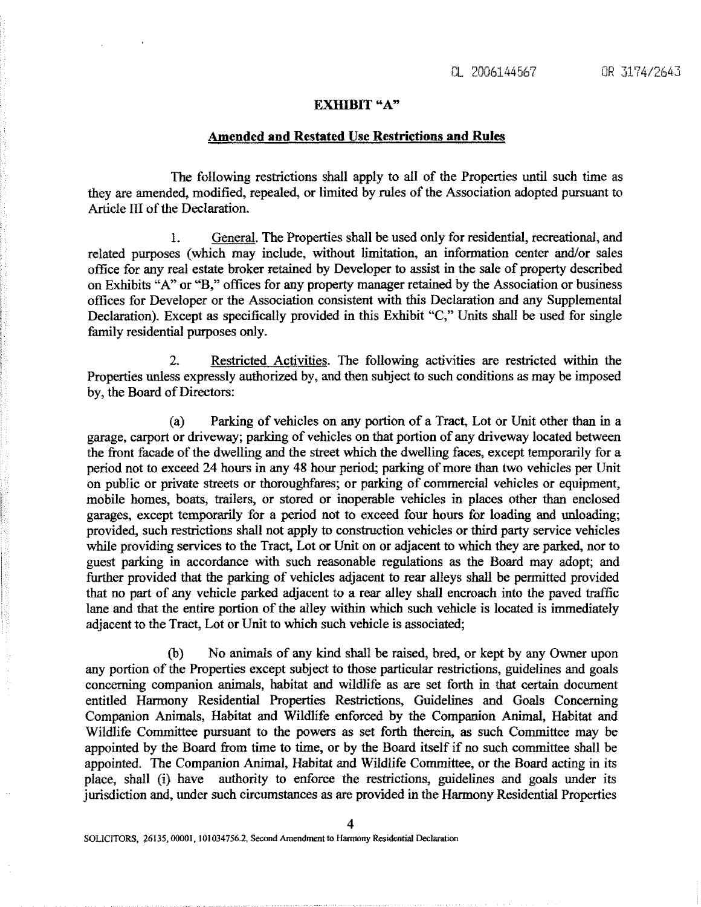### EXHIBIT "A"

# **Amended and Restated Use Restrictions and Rules**

The following restrictions shall apply to all of the Properties until such time as they are amended, modified, repealed, or limited by rules of the Association adopted pursuant to Article III of the Declaration.

1. General. The Properties shall be used only for residential, recreational., and related purposes (which may include, without limitation, an information center and/or sales office for any real estate broker retained by Developer to assist in the sale of property described on Exhibits "A" or "B," offices for any property manager retained *by* the Association or business offices for Developer or the Association consistent with this Declaration and any Supplemental Declaration). Except as specifically provided in this Exhibit "C," Units shall be used for single family residential purposes only.

2. Restricted Activities. The following activities are restricted within the Properties unless expressly authorized by, and then subject to such conditions as may be imposed by, the Board of Directors:

(a) Parking of vehicles on any portion of a Tract, Lot or Unit other than in a garage, carport or driveway; parking of vehicles on that portion of any driveway located between the front facade of the dwelling and the street which the dwelling faces, except temporarily for a period not to exceed 24 hours in any 48 hour period; parking of more than two vehicles per Unit on public or private streets or thoroughfares; or parking of commercial vehicles or equipment, mobile homes, boats, trailers, or stored or inoperable vehicles in places other than enclosed garages, except temporarily for a period not to exceed four hours for loading and unloading ; provided, such restrictions shall not apply to construction vehicles or third party service vehicles while providing services to the Tract, Lot or Unit on or adjacent to which they are parked, nor to guest parking in accordance with such reasonable regulations as the Board may adopt; and further provided that the parking of vehicles adjacent to rear alleys shall be permitted provided that no part of any vehicle parked adjacent to a rear alley shall encroach into the paved traffic lane and that the entire portion of the alley within which such vehicle *is* located is immediately adjacent to the Tract, Lot or Unit to which such vehicle is associated;

(b) No animals of any kind shall be raised, bred, or kept by any Owner upon any portion of the Properties except subject to those particular restrictions, guidelines and goals concerning companion animals, habitat and wildlife as are set forth in that certain document entitled Harmony Residential Properties Restrictions, Guidelines and Goals Concerning Companion Animals, Habitat and Wildlife enforced by the Companion Animal, Habitat and Wildlife Committee pursuant to the powers as set forth therein, as such Committee may be appointed by the Board from time to time, or by the Board itself if no such committee shall be appointed. The Companion Animal, Habitat and Wildlife Committee, or the Board acting in its place, shall (i) have authority to enforce the restrictions, guidelines and goals under its jurisdiction and, under such circumstances as are provided in the Harmony Residential Properties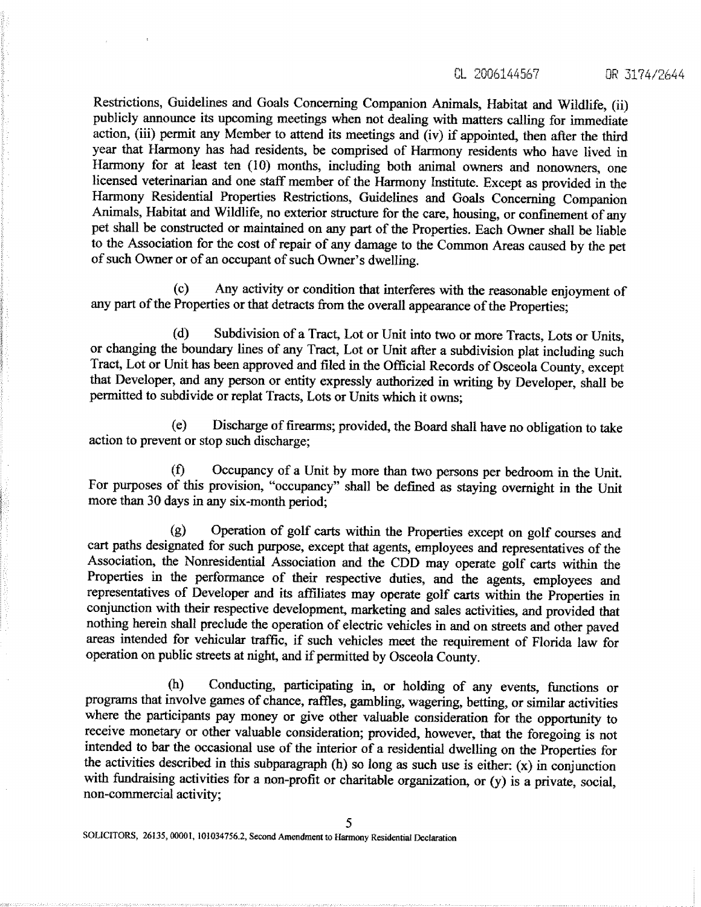CL 2006144567 OR 3174/2644

Restrictions, Guidelines and Goals Concerning Companion Animals, Habitat and Wildlife, (ii) publicly announce its upcoming meetings when not dealing with matters calling for immediate action, (iii) permit any Member to attend its meetings and (iv) if appointed, then after the third year that Harmony has had residents, be comprised of Harmony residents who have lived in Harmony for at least ten (10) months, including both animal owners and nonowners, one licensed veterinarian and one staff member of the Harmony Institute . Except as provided in the Harmony Residential Properties Restrictions, Guidelines and Goals Concerning Companion Animals, Habitat and Wildlife, no exterior structure for the care, housing, or confinement of any pet shall be constructed or maintained on any part of the Properties. Each Owner shall be liable to the Association for the cost of repair of any damage to the Common Areas caused by the pet of such Owner or of an occupant of such Owner's dwelling .

(c) Any activity or condition that interferes with the reasonable enjoyment of any part of the Properties or that detracts from the overall appearance of the Properties;

(d) Subdivision of a Tract, Lot or Unit into two or more Tracts, Lots or Units, or changing the boundary lines of any *Tract,* Lot or Unit after a subdivision plat including such Tract, Lot or Unit has been approved and filed in the Official Records of Osceola County, except that Developer, and any person or entity expressly authorized in writing by Developer, shall be permitted to subdivide or replat Tracts, Lots or Units which it owns;

(e) Discharge of firearms; provided, the Board shall have no obligation to take action to prevent or stop such discharge;

(fl Occupancy of a Unit by more than two persons per bedroom in the Unit. For purposes of this provision, "occupancy" shall be defined as staying overnight in the Unit more than 30 days in any six-month period;

(g) Operation of golf carts within the Properties except on golf courses and cart paths designated for such purpose, except that agents, employees and representatives of the Association, the Nonresidential Association and the CDD may operate golf carts within the Properties in the performance of their respective duties, and the agents, employees and representatives of Developer and its affiliates may operate golf carts within the Properties in conjunction with their respective development, marketing and sales activities, and provided that nothing herein shall preclude the operation of electric vehicles in and on streets and other paved areas intended for vehicular traffic, if such vehicles meet the requirement of Florida law for operation on public streets at night, and if permitted by Osceola County .

(h) Conducting, participating in, or holding of any events, functions or programs that involve games of chance, raffles, gambling, wagering, betting, or similar activities where the participants pay money or give other valuable consideration for the opportunity to receive monetary or other valuable consideration; provided, however, that the foregoing is not intended to bar the occasional use of the interior of a residential dwelling on the Properties for the activities described in this subparagraph (h) so long as such use is either: (x) in conjunction with fundraising activities for a non-profit or charitable organization, or (y) is a private, social, non-commercial activity;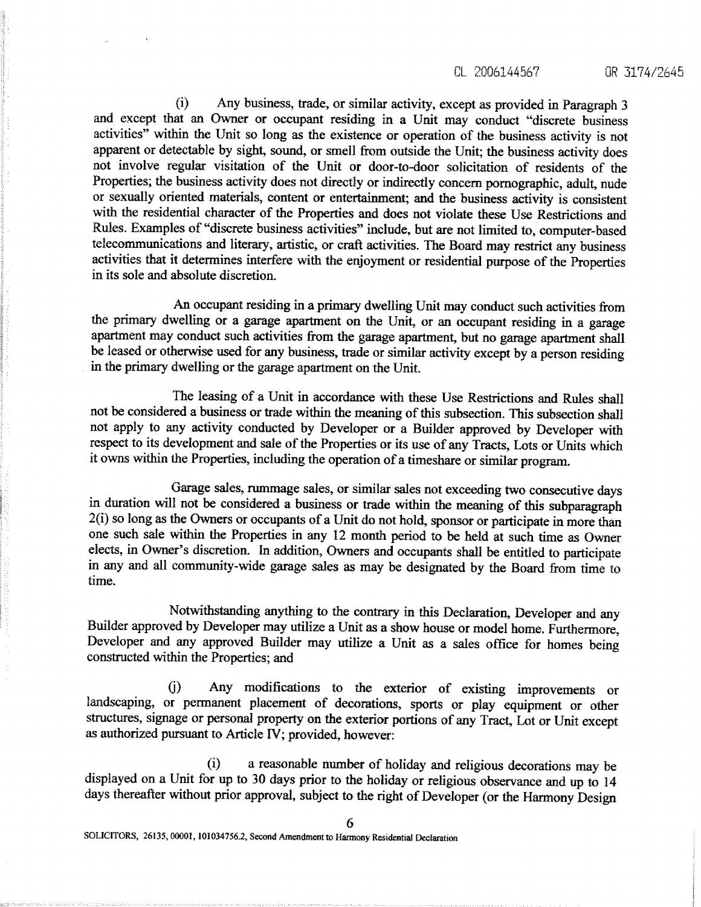(i) Any business, trade, or similar activity, except as provided in Paragraph 3 and except that an Owner or occupant residing in a Unit may conduct "discrete business activities" within the Unit so long as the existence or operation of the business activity is not apparent or detectable by sight, sound, or smell from outside the Unit; the business activity does not involve regular visitation of the Unit or door-to-door solicitation of residents of the Properties; the business activity does not directly or indirectly concern pornographic, adult, nude or sexually oriented materials, content or entertainment; and the business activity is consistent with the residential character of the Properties and does not violate these Use Restrictions and Rules. Examples of "discrete business activities" include, but are not limited to, computer-based telecommunications and literary, artistic, or craft activities . The Board may restrict any business activities that it determines interfere with the enjoyment or residential purpose of the Properties in its sole and absolute discretion.

An occupant residing in a primary dwelling Unit may conduct such activities from the primary dwelling or a garage apartment on the Unit, or an occupant residing in a garage apartment may conduct such activities from the garage apartment, but no garage apartment shall be leased or otherwise used for any business, trade or similar activity except by a person residing in the primary dwelling or the garage apartment on the Unit.

The leasing of a Unit in accordance with these Use Restrictions and Rules shall not be considered a business or trade within the meaning of this subsection . This subsection shall not apply to any activity conducted by Developer or a Builder approved by Developer with respect to its development and sale of the Properties or its use of any Tracts, Lots or Units which it owns within the Properties, including the operation of a timeshare or similar program .

Garage sales, rummage sales, or similar sales not exceeding two consecutive days in duration will not be considered a business or trade within the meaning of this subparagraph 2(i) so long as the Owners or occupants of a Unit do not hold, sponsor or participate in more than one such sale within the Properties in any 12 month period to be held at such time as Owner elects, in Owner's discretion. In addition, Owners and occupants shall be entitled to participate in any and all community-wide garage sales as may be designated by the Board from time to **time.**

Notwithstanding anything to the contrary in this Declaration, Developer and any Builder approved by Developer may utilize a Unit as a show house or model home . Furthermore, Developer and any approved Builder may utilize a Unit as a sales office for homes being constructed within the Properties; and

0) Any modifications to the exterior of existing improvements or landscaping, or permanent placement of decorations, sports or play equipment or other structures, signage or personal property on the exterior portions *of* an*y* Tract, Lot or Unit except as authorized pursuant to Article IV; provided, however:

(i) a reasonable number of holiday and religious decorations may be displayed on a Unit for up to 30 days prior to the holiday or religious observance and up to 14 days thereafter without prior approval, subject to the right of Developer (or the Harmony Design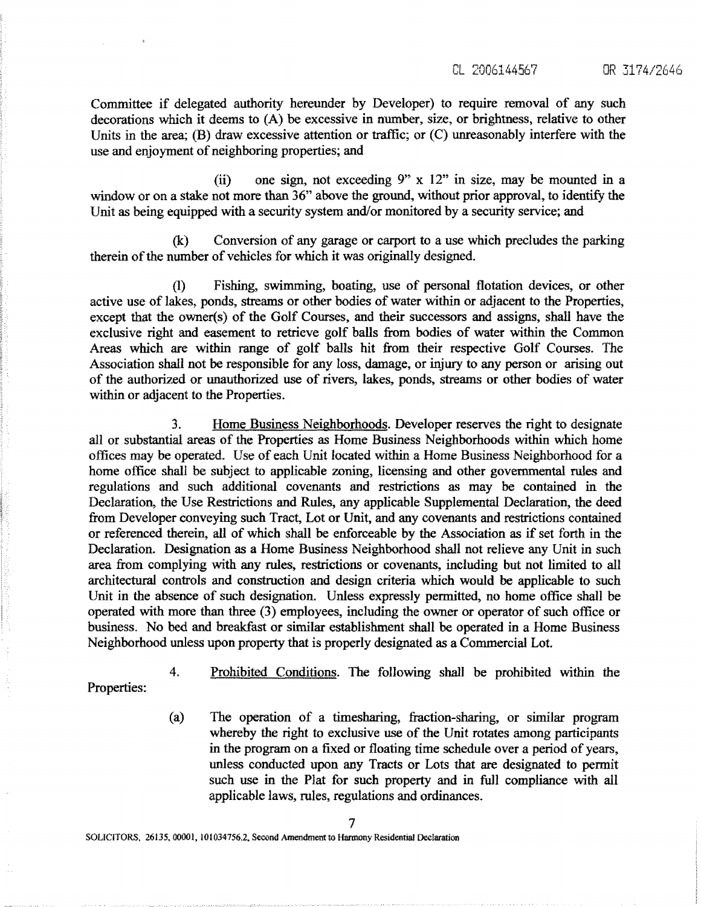**Committee if delegated autho**ri**ty he**re**under by Developer) to require** re**moval of any such decorations which it deems to (A) be excessive in number, size, or brightness, relative to other Units in the area; (B) draw excessive attention or traffic; or (C)** unreasonably **interfere with the use and enjoyment of neighboring properties ; and**

**(ii) one sign, not exceeding 9" x 12" in size, may be mounted in a window or on a stake not more than 36" above the ground, without prior approval, to identify the Unit as being equipped with a security system and/or monitored by a security service; and**

**(k) Conversion of any garage or carpo**rt **to a use which precludes the parking therein of the number of vehicles for which it was originally designed .**

(1) Fishing, swimming, boating, use of personal flotation devices, or other active use of lakes, ponds, streams or other bodies of water within or adjacent to the Properties, **except that the owner(s) of the Golf Courses, and their successors and assigns, shall have the exclusive right and easement to retrieve golf b**al**ls from bodies of water within the Common Areas which are within range of golf balls hit from their respective Golf Courses. The Association shall not be responsible for any loss, damage, or injury to any person or arising out of the authorized or unauthorized use of rivers, lakes, ponds, streams or other bodies of water within or adjacent to the Properties.**

**3 . Home Business Neighborhoods. Developer reserves the right to designate** al**l or substantial areas of the Prope**rt**ies as Home Business Neighborhoods within which home of**fi**ces may be operated. Use of each Unit located within a Hone Business Neighborhood for a home office shall be subject to applicable zoning, licensing and other gove**rn**mental rules and regulations and such additional covenants and restrictions as may be contained in the Declaration, the Use Restrictions and Rules, any applicable Supplemental Declaration, the deed** fr**om Developer conveying such Tract, Lot or Unit, and any covenants and restrictions contained or referenced therein, all of which shall** be **enforceable by the Associa**ti**on as if set fo**rt**h in the Declaration. Designation** as **a Home Business Neighborhood shall not relieve any Unit in such area** fr**om complying with any rules, restrictions or covenants, including but not limited to all architectural controls and construction and design criteria which would be applicable to such Unit in the absence of such designation. Unless expressly permi**tt**ed, no home office shall** be **operated with** more **than three (3) employees, including the owner or operator of such office or business. No bed and breakfast or similar establishment shall** be **operated in a Home Business Neighborhood unless upon property that is properly designated as a Commercial Lot.**

**Properties:**

**4. Prohibited Conditions. The following shall** be **prohibited withi**n **the**

**(a) The opera**ti**on of a timesharing,** fr**action-sharing, or similar program whereby the right to exclusive use of the Unit rotates among pa**rt**icipants in the program on a** fi**xed or floating time schedule over a period of years, unless conducted upon any Tracts or Lots that are designated to permit such use in the Plat for such property and in full compliance with** al**l applicable laws, rules, regulations and ordinances .**

SOLICITORS, 26135, 00001, 1010347562, **Sec**o**nd Amendment to Harmony Residential Declaration**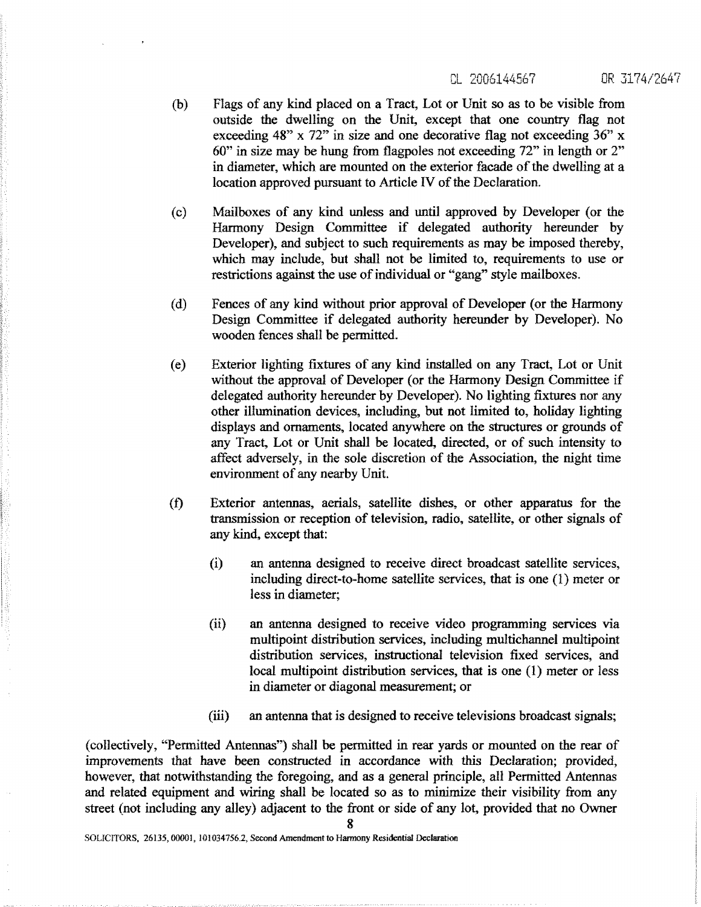.1 0.000`144567 OR J7174/2647

- (b) Flags of any kind placed on a Tract, Lot or Unit so as to be visible from outside the dwelling on the Unit, except that one country flag not exceeding 48" x 72" in size and one decorative flag not exceeding 36" x 60" in size may be hung from flagpoles not exceeding 72" in length or 2" in diameter, which are mounted on the exterior facade of the dwelling at a location approved **pursuant** to Article IV of the Declaration.
- (c) Mailboxes of any kind **unless and until** approved by Developer (or the Harmony Design Committee if delegated authority hereunder by Developer), and subject **to such** requirements as may be imposed thereby, which may include, but shall not be limited to, requirements to use or restrictions **against the** use of individual **or "gang"** style mailboxes.
- (d) Fences of any kind without prior approval of Developer (or the Harmony Design Committee if delegated authority hereunder by Developer). No wooden fences shall be permitted.
- (e) Exterior lighting fixtures of any kind installed on any Tract, Lot or Unit without the approval of Developer (or the Harmony Design Committee if delegated authority hereunder by Developer). No lighting fixtures nor any other illumination devices, including, but not limited to, holiday lighting displays and ornaments, located anywhere on the structures or grounds of any Tract, Lot or Unit shall be located, directed, or of such intensity to affect adversely, in the sole discretion of the Association, the night time environment of any nearby Unit.
- (f) Exterior antennas, **aerials, satellite dishes,** or other apparatus for the transmission or reception of television, radio, satellite, or other signals of any kind, except that:
	- (i) an antenna designed to receive direct broadcast satellite services, including direct-to-home satellite services, that is one (1) meter or less in diameter;
	- (ii) an antenna designed to receive video programming services via multipoint distribution services, including multichannel multipoint distribution services, instructional television fixed services, and local multipoint distribution services, that is one (1) meter or less in diameter or diagonal measurement; or
	- (iii) an antenna that is designed to receive televisions broadcast signals;

(collectively, "Permitted Antennas") shall be permitted in rear yards or mounted on the rear of improvements that have been constructed in accordance with this Declaration; provided, however, that notwithstanding the foregoing, and as a general principle, all Permitted Antennas and related equipment and wiring shall be located so as to minimize their visibility from any street (not including any alley) adjacent to the front or side of any lot, provided that no Owner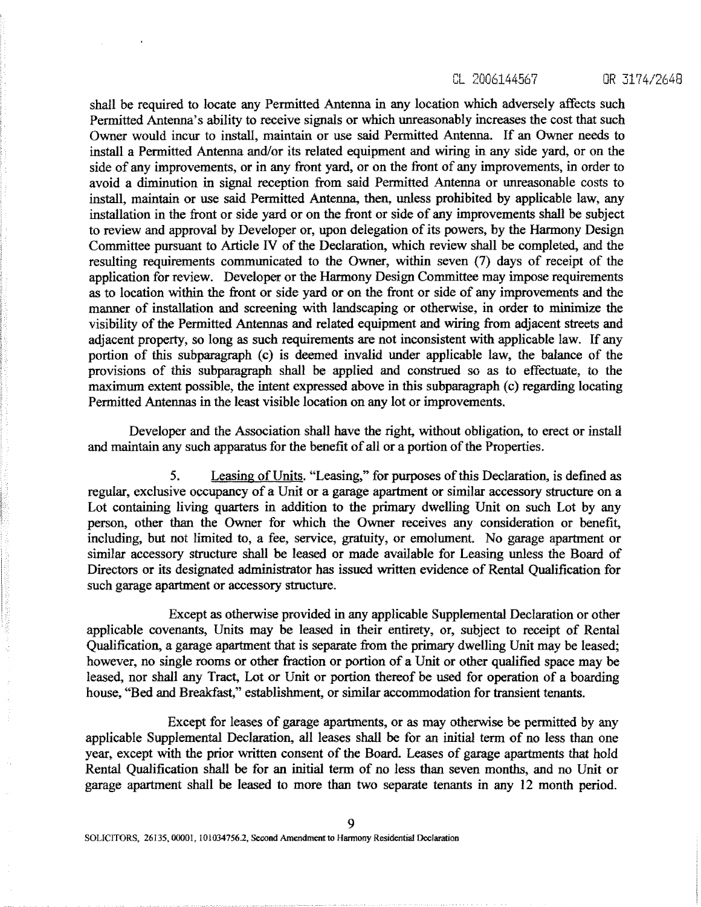CL 2006144567 OR 3174/2648

**shall be required to locate any Permi**tt**ed Antenna** i**n any location which adversely affects such** Permitted Antenna's ability to receive signals or which unreasonably increases the cost that such **Owner would incur to install, maintain or use said Permitted Antenna . If** an **Owner needs to install a Permi**tt**ed Antenna and/or** i**ts related equipment and wiring in any side yard, or on the side of any improvements, or in any** fr**ont yard, or on the** fr**ont of any improvements, in order to** avoid a diminution in signal reception from said Permitted Antenna or unreasonable costs to **insta**ll, **maintain or use said Permi**tt**ed Antenna, then., unless p**ro**hibited by applicable law, any installation** <sup>i</sup>**n the** fr**ont or side yard or on the front or side of** an**y improvements shall be subject to review and approval by Developer or, upon delegation of its powers, by the Harmony Design Committee pursuant to A**rt**icle IV of the Declaration, which review shall be completed, and the resulting requirements communicated to the Owner, within** *seven (7)* **days of receipt of the application** *for* **review. Developer or the Harmony Design Commi**tt**ee may impose requirements as to location within the** fr**ont or side yard or on the** fr**ont or side of any improvements and the manner of installation and screening with landscaping or otherwise, in order to minimize the visibility of the Permi**tt**ed Antennas** an**d related equipment and wiring** fr**om adjacent streets and adjacent property, so long as such requirements are not inconsistent with applicable law . If any po**rt**ion of this subparagraph (c) is deemed invalid under applicable law, the balance of the provisions of this subparagraph shall be applied and construed so as to effectuate, to the maximum extent possible, the intent expressed above in this subparagraph (c) regarding locating Permi**tt**ed Antennas in the least visible location on any lot or** i**mprovements.**

Developer and the Association shall have the right, without obligation, to erect or install and maintain any such apparatus for the benefit of all or a portion of the Properties .

5. Leasing of Units. "Leasing," for purposes of this Declaration, is defined as regular, exclusive occupancy of a Unit or a garage apartment or similar accessory structure on a Lot containing living quarters in addition to the primary dwelling Unit on such Lot by any person, other than the Owner for which the Owner receives any consideration or benefit, including, but not limited to, a fee, service, gratuity, or emolument. No garage apartment or similar accessory structure shall be leased or made available for Leasing unless the Board of Directors or its designated administrator has issued written evidence of Rental Qualification for such garage apartment or accessory structure.

Except as otherwise provided in any applicable Supplemental Declaration or other applicable covenants, Units may be leased in their entirety, or, subject to receipt of Rental Qualification, a garage apartment that is separate from the primary dwelling Unit may be leased ; however, no single rooms or other fraction or portion of a Unit or other qualified space may be leased, nor shall any Tract, Lot or Unit or portion thereof be used for operation of a boarding house, "Bed and Breakfast," establishment, or similar accommodation for transient tenants.

Except for leases of garage apartments, or as may otherwise be permitted by any applicable Supplemental Declaration, all leases shall be for an initial term of no less than one year, except with the prior written consent of the Board. Leases of garage apartments that hold Rental Qualification shall be for an initial term of no less than seven months, and no Unit or garage apartment shall be leased to more than two separate tenants in any 12 month period.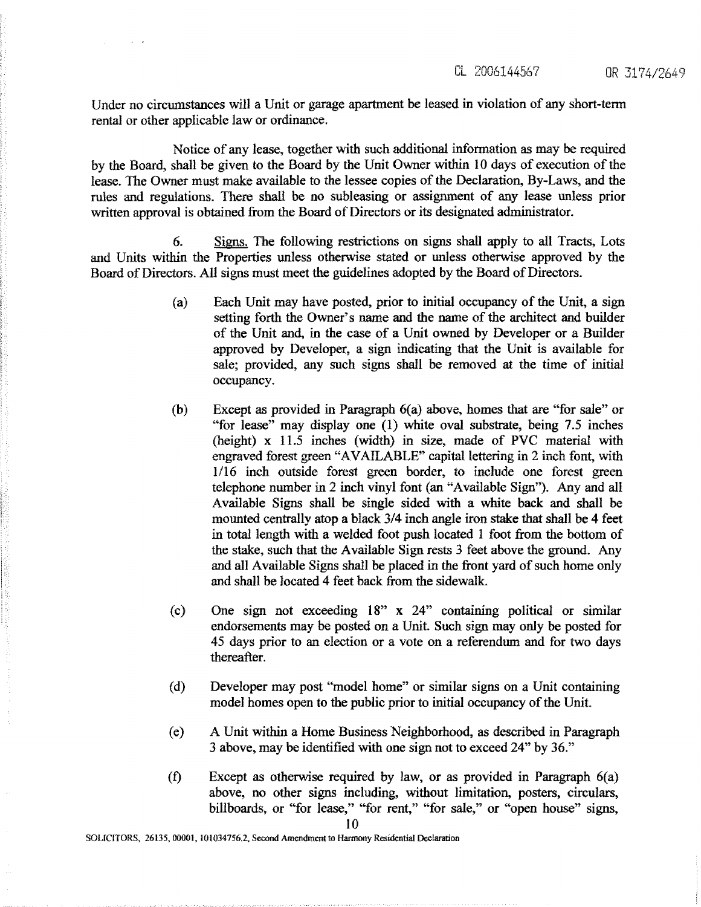**Under no circumstances will a Unit or garage apartment be leased in violation of** an**y sho**rt**-term rental** *or* **other applicable law or ordin**an**ce.**

**Notice of any lease, together with such addi**ti**onal information as may be required by the Board, shall be given to the Board** *by* **the Unit Owner within 10 days of execution of the lease. The Owner must make available to the lessee copies of the Declaration, By-Laws, and the** rules and regulations. There shall be no subleasing or assignment of any lease unless prior **wri**tt**en approval** <sup>i</sup>**s obtained** fr**om the Board of Directors or its designated administrator .**

**6. Signs. The following restrictions on signs shall apply to all Tracts, Lots and Units within the P**ro**perties unless otherwise stated or unless otherwise approved by the Board of Directors. All signs must meet the guidelines adopted by the Board of Directors .**

- **(a) Each Unit may have posted, prior to initial occupancy of the Unit, a sign setting fo**rt**h the Owner's name and the name of the architect and builder of the Unit and, in the case of a Unit owned by Developer or a Builder approved by Developer, a sign** <sup>i</sup>**ndicating that the Unit is available for sale; provided, any such signs shall be removed at the time of initial occupancy.**
- (b) **Except** as **provided in Paragraph 6(a) above, homes that are "for sate" or** "for lease" may display one (1) white oval substrate, being 7.5 inches **(height) x 11 .5 inches (width) in size,** made **of PVC material with engraved forest green** "AVAILABLE" **capital lettering in 2 inc**h **font, with 1116 inch outside forest green border, to include one forest green telephone number in 2 inch vinyl font (an "Available Sign"). Any and all Available Signs sh**al**l be single sided with a white back and shall be mounted centr**al**ly atop a black 3**/**4 inch angle iron stake that shall be 4 feet in total length with a welded foot push located 1 foot** fr**om the bo**tt**om of the stake, such that the Available Sign rests 3 feet above the ground. Any and all Available Signs shall be placed in the** fr**ont** *yard* **of such home only and sh**al**l be located 4 feet back from the sidewalk.**
- **(c) One sign not exceeding 18" x 24" containing political or similar endorsements may be posted on a Unit. Such sign may only be posted for 45 days prior to an election or a vote on a** re**ferendum and for two days thereafter ,**
- (d) Developer may post "model home" or similar signs on a Unit containing **model homes** open **to the** public prior **to initial** occupancy of the Unit.
- A Unit within **a Home Business Neighborhood, as described in Paragraph** 3 above, may **be identified with one sign not to exceed** 24" by 36. " **(e)**
- **Except as otherwise required by law, or as provided in Paragraph 6(a) above, no other signs including, without limitation, posters, circulars, billboards, or "for lease," "for rent," "for sale," or "open house" signs ,** (f)